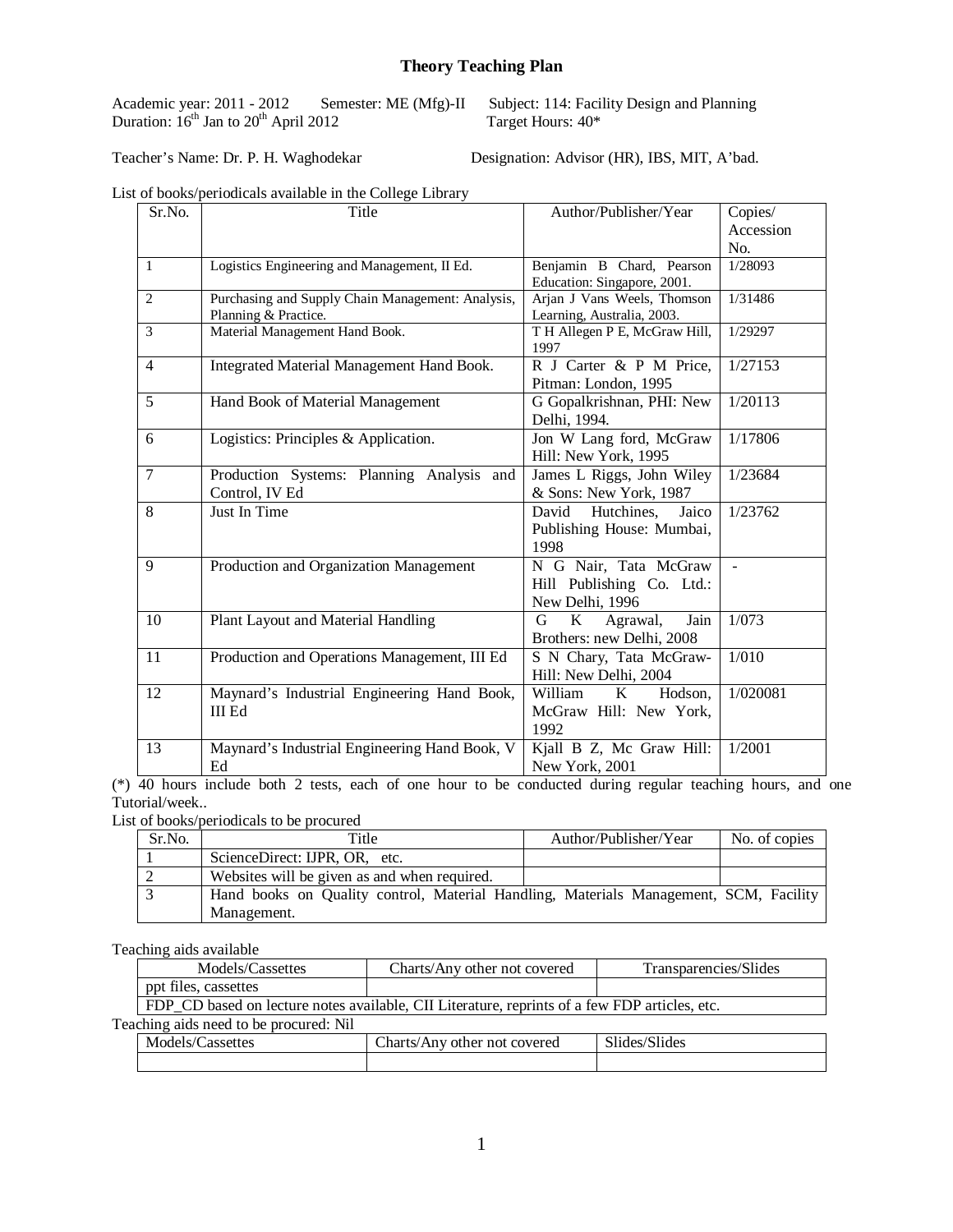### **Theory Teaching Plan**

Academic year:  $2011 - 2012$  Sen<br>Duration:  $16^{th}$  Jan to  $20^{th}$  April 2012

Semester: ME (Mfg)-II Subject: 114: Facility Design and Planning<br>
Target Hours:  $40*$ 

Teacher's Name: Dr. P. H. Waghodekar Designation: Advisor (HR), IBS, MIT, A'bad.

|  |  | List of books/periodicals available in the College Library |  |  |  |  |
|--|--|------------------------------------------------------------|--|--|--|--|
|--|--|------------------------------------------------------------|--|--|--|--|

| Sr.No.         | Title                                             | Author/Publisher/Year                 | Copies/   |
|----------------|---------------------------------------------------|---------------------------------------|-----------|
|                |                                                   |                                       | Accession |
|                |                                                   |                                       | No.       |
| $\mathbf{1}$   | Logistics Engineering and Management, II Ed.      | Benjamin B Chard, Pearson             | 1/28093   |
|                |                                                   | Education: Singapore, 2001.           |           |
| $\overline{2}$ | Purchasing and Supply Chain Management: Analysis, | Arjan J Vans Weels, Thomson           | 1/31486   |
|                | Planning & Practice.                              | Learning, Australia, 2003.            |           |
| 3              | Material Management Hand Book.                    | T H Allegen P E, McGraw Hill,<br>1997 | 1/29297   |
| $\overline{4}$ | Integrated Material Management Hand Book.         | R J Carter & P M Price,               | 1/27153   |
|                |                                                   | Pitman: London, 1995                  |           |
| 5              | Hand Book of Material Management                  | G Gopalkrishnan, PHI: New             | 1/20113   |
|                |                                                   | Delhi, 1994.                          |           |
| 6              | Logistics: Principles & Application.              | Jon W Lang ford, McGraw               | 1/17806   |
|                |                                                   | Hill: New York, 1995                  |           |
| 7              | Production Systems: Planning Analysis and         | James L Riggs, John Wiley             | 1/23684   |
|                | Control, IV Ed                                    | & Sons: New York, 1987                |           |
| 8              | Just In Time                                      | David<br>Hutchines.<br>Jaico          | 1/23762   |
|                |                                                   | Publishing House: Mumbai,             |           |
|                |                                                   | 1998                                  |           |
| 9              | Production and Organization Management            | N G Nair, Tata McGraw                 | $\sim$    |
|                |                                                   | Hill Publishing Co. Ltd.:             |           |
|                |                                                   | New Delhi, 1996                       |           |
| 10             | Plant Layout and Material Handling                | K<br>G<br>Agrawal,<br>Jain            | 1/073     |
|                |                                                   | Brothers: new Delhi, 2008             |           |
| 11             | Production and Operations Management, III Ed      | S N Chary, Tata McGraw-               | 1/010     |
|                |                                                   | Hill: New Delhi, 2004                 |           |
| 12             | Maynard's Industrial Engineering Hand Book,       | William<br>K<br>Hodson,               | 1/020081  |
|                | <b>III Ed</b>                                     | McGraw Hill: New York,                |           |
|                |                                                   | 1992                                  |           |
| 13             | Maynard's Industrial Engineering Hand Book, V     | Kjall B Z, Mc Graw Hill:              | 1/2001    |
|                | Ed                                                | New York, 2001                        |           |
|                |                                                   |                                       |           |

(\*) 40 hours include both 2 tests, each of one hour to be conducted during regular teaching hours, and one Tutorial/week..

List of books/periodicals to be procured

| Sr.No. | Title                                                                                 | Author/Publisher/Year | No. of copies |
|--------|---------------------------------------------------------------------------------------|-----------------------|---------------|
|        | ScienceDirect: IJPR, OR, etc.                                                         |                       |               |
|        | Websites will be given as and when required.                                          |                       |               |
|        | Hand books on Quality control, Material Handling, Materials Management, SCM, Facility |                       |               |
|        | Management.                                                                           |                       |               |

Teaching aids available

| Models/Cassettes                                                                              | Charts/Any other not covered | Transparencies/Slides |  |  |
|-----------------------------------------------------------------------------------------------|------------------------------|-----------------------|--|--|
| ppt files, cassettes                                                                          |                              |                       |  |  |
| FDP CD based on lecture notes available, CII Literature, reprints of a few FDP articles, etc. |                              |                       |  |  |
|                                                                                               |                              |                       |  |  |

Teaching aids need to be procured: Nil

| Models/Cassettes | ~<br>Charts/Any<br>other not covered | Slides/Slides |
|------------------|--------------------------------------|---------------|
|                  |                                      |               |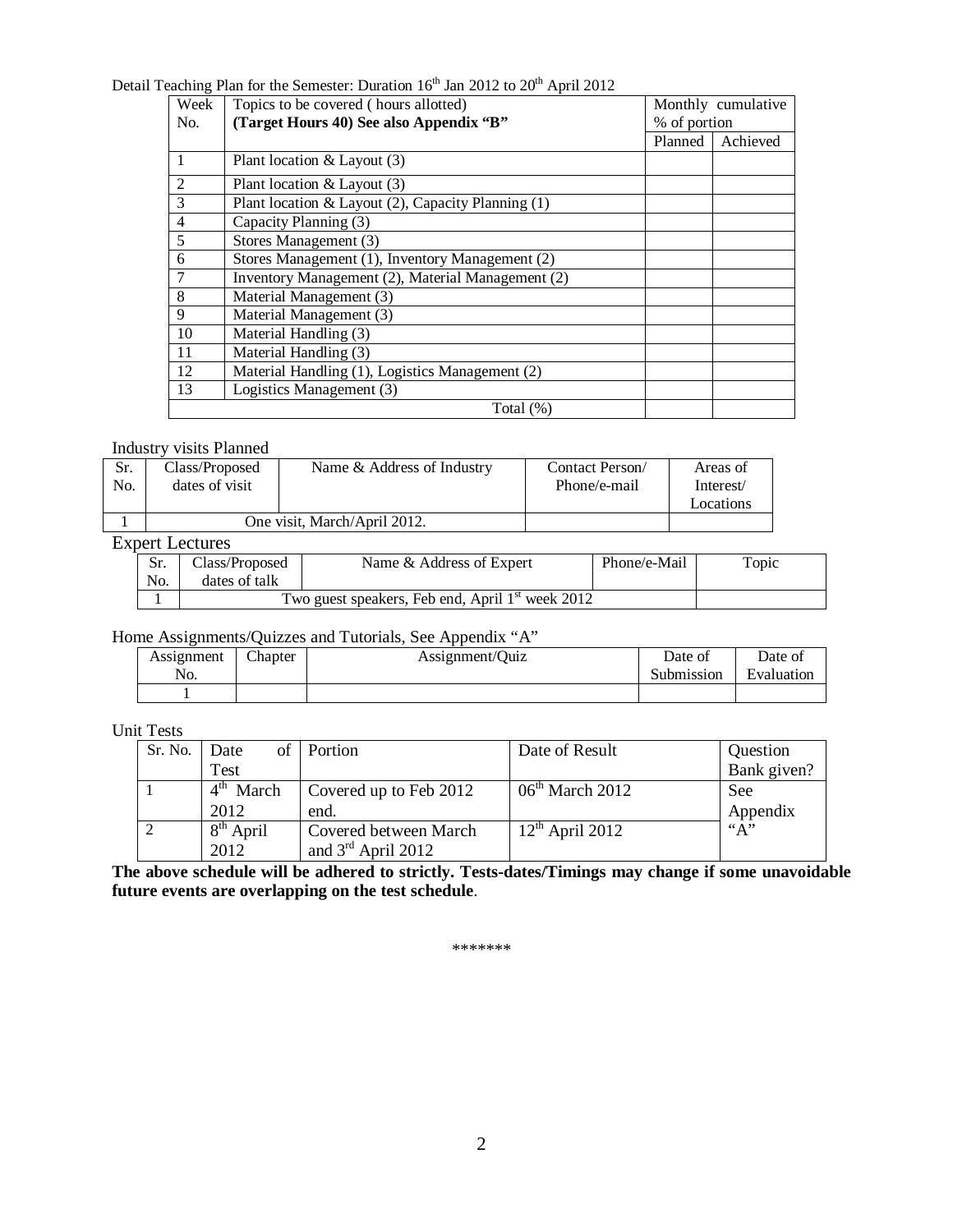# Detail Teaching Plan for the Semester: Duration  $16^{th}$  Jan 2012 to  $20^{th}$  April 2012

| Week           | Topics to be covered (hours allotted)              |         | Monthly cumulative |  |
|----------------|----------------------------------------------------|---------|--------------------|--|
| N <sub>o</sub> | (Target Hours 40) See also Appendix "B"            |         | % of portion       |  |
|                |                                                    | Planned | Achieved           |  |
|                | Plant location $&$ Layout (3)                      |         |                    |  |
| $\overline{2}$ | Plant location $&$ Layout (3)                      |         |                    |  |
| 3              | Plant location & Layout (2), Capacity Planning (1) |         |                    |  |
| $\overline{4}$ | Capacity Planning (3)                              |         |                    |  |
| 5              | Stores Management (3)                              |         |                    |  |
| 6              | Stores Management (1), Inventory Management (2)    |         |                    |  |
| 7              | Inventory Management (2), Material Management (2)  |         |                    |  |
| 8              | Material Management (3)                            |         |                    |  |
| 9              | Material Management (3)                            |         |                    |  |
| 10             | Material Handling (3)                              |         |                    |  |
| 11             | Material Handling (3)                              |         |                    |  |
| 12             | Material Handling (1), Logistics Management (2)    |         |                    |  |
| 13             | Logistics Management (3)                           |         |                    |  |
|                | Total $(\%)$                                       |         |                    |  |

#### Industry visits Planned

| Sr.<br>No. | Class/Proposed<br>dates of visit | Name & Address of Industry   | Contact Person/<br>Phone/e-mail | Areas of<br>Interest/<br>Locations |
|------------|----------------------------------|------------------------------|---------------------------------|------------------------------------|
|            |                                  |                              |                                 |                                    |
|            |                                  | One visit. March/April 2012. |                                 |                                    |
|            |                                  |                              |                                 |                                    |

#### Expert Lectures

|     | Class/Proposed | Name & Address of Expert                                     | Phone/e-Mail | Topic |
|-----|----------------|--------------------------------------------------------------|--------------|-------|
| No. | dates of talk  |                                                              |              |       |
|     |                | Two guest speakers, Feb end, April 1 <sup>st</sup> week 2012 |              |       |

## Home Assignments/Quizzes and Tutorials, See Appendix "A"

| Assignment     | Chapter | Assignment/Quiz | Date of    | Date of    |
|----------------|---------|-----------------|------------|------------|
| N <sub>O</sub> |         |                 | Submission | Evaluation |
|                |         |                 |            |            |

### Unit Tests

| Sr. No. | Date        | of Portion             | Date of Result    | Question    |
|---------|-------------|------------------------|-------------------|-------------|
|         | Test        |                        |                   | Bank given? |
|         | $4th$ March | Covered up to Feb 2012 | $06th$ March 2012 | See         |
|         | 2012        | end.                   |                   | Appendix    |
|         | $8th$ April | Covered between March  | $12th$ April 2012 | ``A"        |
|         | 2012        | and $3rd$ April 2012   |                   |             |

**The above schedule will be adhered to strictly. Tests-dates/Timings may change if some unavoidable future events are overlapping on the test schedule**.

\*\*\*\*\*\*\*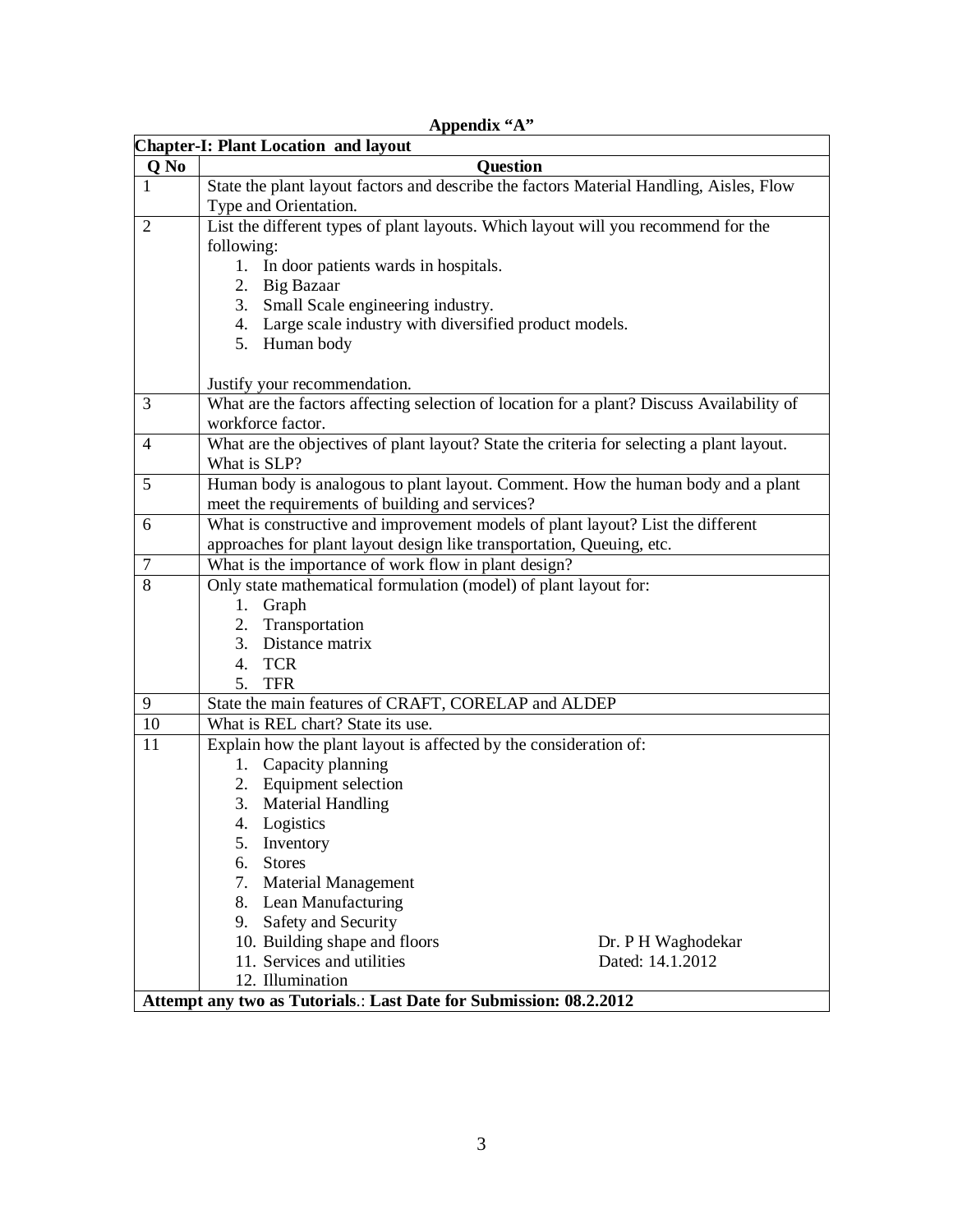|                | <b>Chapter-I: Plant Location and layout</b>                                                                                         |                    |
|----------------|-------------------------------------------------------------------------------------------------------------------------------------|--------------------|
| Q No           | <b>Question</b>                                                                                                                     |                    |
| $\mathbf{1}$   | State the plant layout factors and describe the factors Material Handling, Aisles, Flow                                             |                    |
|                | Type and Orientation.                                                                                                               |                    |
| 2              | List the different types of plant layouts. Which layout will you recommend for the                                                  |                    |
|                | following:                                                                                                                          |                    |
|                | 1. In door patients wards in hospitals.                                                                                             |                    |
|                | 2. Big Bazaar                                                                                                                       |                    |
|                | 3. Small Scale engineering industry.                                                                                                |                    |
|                | 4. Large scale industry with diversified product models.                                                                            |                    |
|                | 5. Human body                                                                                                                       |                    |
|                |                                                                                                                                     |                    |
|                | Justify your recommendation.                                                                                                        |                    |
| 3              | What are the factors affecting selection of location for a plant? Discuss Availability of                                           |                    |
|                | workforce factor.                                                                                                                   |                    |
| $\overline{4}$ | What are the objectives of plant layout? State the criteria for selecting a plant layout.                                           |                    |
| 5              | What is SLP?                                                                                                                        |                    |
|                | Human body is analogous to plant layout. Comment. How the human body and a plant<br>meet the requirements of building and services? |                    |
| 6              | What is constructive and improvement models of plant layout? List the different                                                     |                    |
|                | approaches for plant layout design like transportation, Queuing, etc.                                                               |                    |
| $\overline{7}$ | What is the importance of work flow in plant design?                                                                                |                    |
| 8              | Only state mathematical formulation (model) of plant layout for:                                                                    |                    |
|                | 1. Graph                                                                                                                            |                    |
|                | Transportation<br>2.                                                                                                                |                    |
|                | 3. Distance matrix                                                                                                                  |                    |
|                | 4. TCR                                                                                                                              |                    |
|                | 5. TFR                                                                                                                              |                    |
| 9              | State the main features of CRAFT, CORELAP and ALDEP                                                                                 |                    |
| 10             | What is REL chart? State its use.                                                                                                   |                    |
| 11             | Explain how the plant layout is affected by the consideration of:                                                                   |                    |
|                | Capacity planning<br>1.                                                                                                             |                    |
|                | 2. Equipment selection                                                                                                              |                    |
|                | <b>Material Handling</b><br>3.                                                                                                      |                    |
|                | 4. Logistics                                                                                                                        |                    |
|                | 5. Inventory                                                                                                                        |                    |
|                | <b>Stores</b><br>6.                                                                                                                 |                    |
|                | 7. Material Management                                                                                                              |                    |
|                | 8. Lean Manufacturing                                                                                                               |                    |
|                | 9. Safety and Security                                                                                                              |                    |
|                | 10. Building shape and floors                                                                                                       | Dr. P H Waghodekar |
|                | 11. Services and utilities                                                                                                          | Dated: 14.1.2012   |
|                | 12. Illumination                                                                                                                    |                    |
|                | Attempt any two as Tutorials.: Last Date for Submission: 08.2.2012                                                                  |                    |

## **Appendix "A"**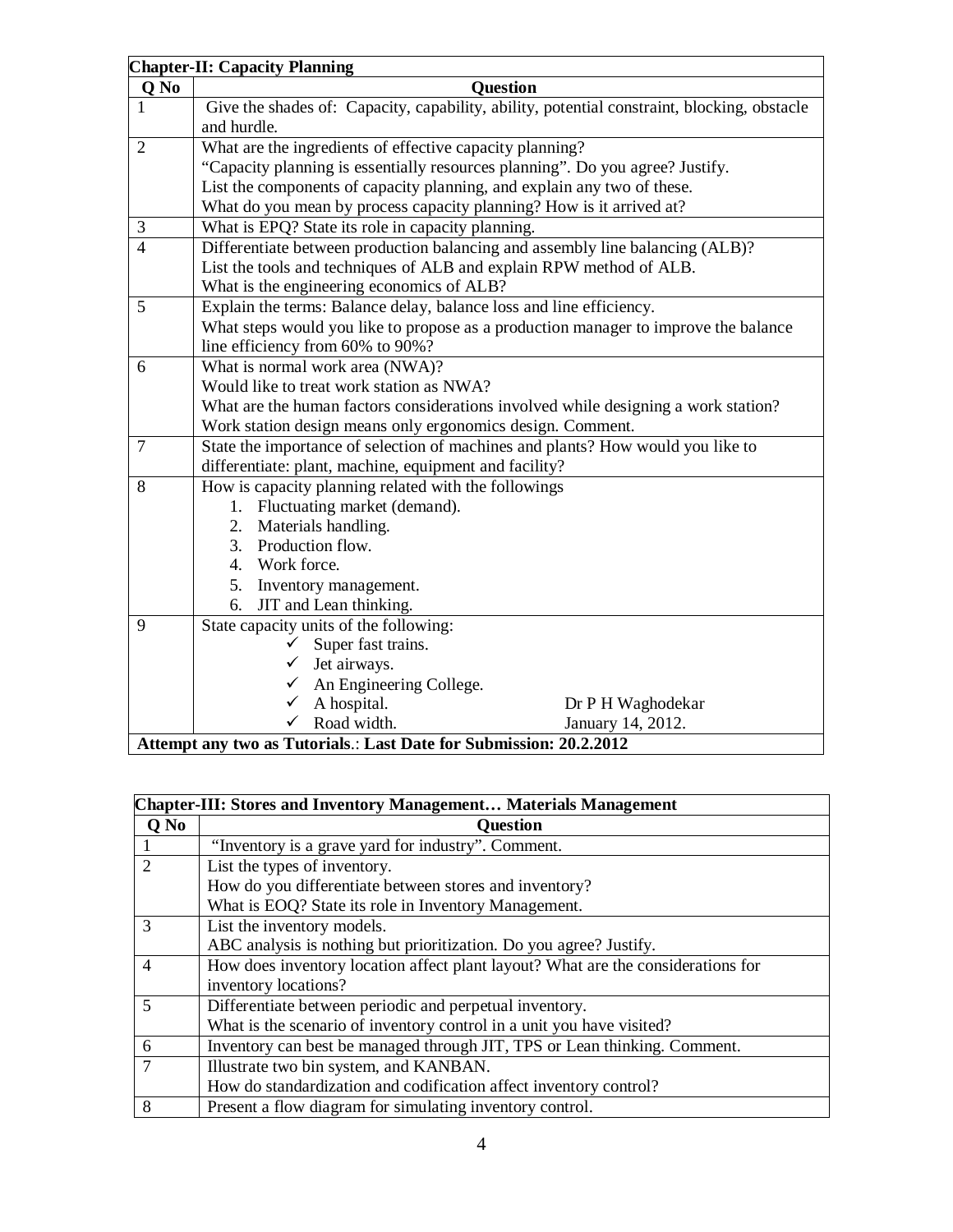|                | <b>Chapter-II: Capacity Planning</b>                                                        |  |  |
|----------------|---------------------------------------------------------------------------------------------|--|--|
| Q No           | <b>Question</b>                                                                             |  |  |
|                | Give the shades of: Capacity, capability, ability, potential constraint, blocking, obstacle |  |  |
|                | and hurdle.                                                                                 |  |  |
| $\overline{2}$ | What are the ingredients of effective capacity planning?                                    |  |  |
|                | "Capacity planning is essentially resources planning". Do you agree? Justify.               |  |  |
|                | List the components of capacity planning, and explain any two of these.                     |  |  |
|                | What do you mean by process capacity planning? How is it arrived at?                        |  |  |
| 3              | What is EPQ? State its role in capacity planning.                                           |  |  |
| $\overline{4}$ | Differentiate between production balancing and assembly line balancing (ALB)?               |  |  |
|                | List the tools and techniques of ALB and explain RPW method of ALB.                         |  |  |
|                | What is the engineering economics of ALB?                                                   |  |  |
| 5              | Explain the terms: Balance delay, balance loss and line efficiency.                         |  |  |
|                | What steps would you like to propose as a production manager to improve the balance         |  |  |
|                | line efficiency from 60% to 90%?                                                            |  |  |
| 6              | What is normal work area (NWA)?                                                             |  |  |
|                | Would like to treat work station as NWA?                                                    |  |  |
|                | What are the human factors considerations involved while designing a work station?          |  |  |
|                | Work station design means only ergonomics design. Comment.                                  |  |  |
| $\overline{7}$ | State the importance of selection of machines and plants? How would you like to             |  |  |
|                | differentiate: plant, machine, equipment and facility?                                      |  |  |
| 8              | How is capacity planning related with the followings                                        |  |  |
|                | Fluctuating market (demand).<br>1.                                                          |  |  |
|                | Materials handling.<br>2.                                                                   |  |  |
|                | 3. Production flow.                                                                         |  |  |
|                | 4. Work force.                                                                              |  |  |
|                | 5. Inventory management.                                                                    |  |  |
|                | 6. JIT and Lean thinking.                                                                   |  |  |
| 9              | State capacity units of the following:                                                      |  |  |
|                | Super fast trains.<br>✓                                                                     |  |  |
|                | Jet airways.                                                                                |  |  |
|                | An Engineering College.<br>✓                                                                |  |  |
|                | A hospital.<br>Dr P H Waghodekar                                                            |  |  |
|                | Road width.<br>January 14, 2012.<br>✓                                                       |  |  |
|                | Attempt any two as Tutorials.: Last Date for Submission: 20.2.2012                          |  |  |

| <b>Chapter-III: Stores and Inventory Management Materials Management</b> |                                                                                  |  |  |  |  |  |  |  |
|--------------------------------------------------------------------------|----------------------------------------------------------------------------------|--|--|--|--|--|--|--|
| Q No                                                                     | <b>Question</b>                                                                  |  |  |  |  |  |  |  |
|                                                                          | "Inventory is a grave yard for industry". Comment.                               |  |  |  |  |  |  |  |
| $\overline{2}$                                                           | List the types of inventory.                                                     |  |  |  |  |  |  |  |
|                                                                          | How do you differentiate between stores and inventory?                           |  |  |  |  |  |  |  |
|                                                                          | What is EOQ? State its role in Inventory Management.                             |  |  |  |  |  |  |  |
| 3                                                                        | List the inventory models.                                                       |  |  |  |  |  |  |  |
|                                                                          | ABC analysis is nothing but prioritization. Do you agree? Justify.               |  |  |  |  |  |  |  |
| $\overline{4}$                                                           | How does inventory location affect plant layout? What are the considerations for |  |  |  |  |  |  |  |
|                                                                          | inventory locations?                                                             |  |  |  |  |  |  |  |
| 5                                                                        | Differentiate between periodic and perpetual inventory.                          |  |  |  |  |  |  |  |
|                                                                          | What is the scenario of inventory control in a unit you have visited?            |  |  |  |  |  |  |  |
| 6                                                                        | Inventory can best be managed through JIT, TPS or Lean thinking. Comment.        |  |  |  |  |  |  |  |
| 7                                                                        | Illustrate two bin system, and KANBAN.                                           |  |  |  |  |  |  |  |
|                                                                          | How do standardization and codification affect inventory control?                |  |  |  |  |  |  |  |
| 8                                                                        | Present a flow diagram for simulating inventory control.                         |  |  |  |  |  |  |  |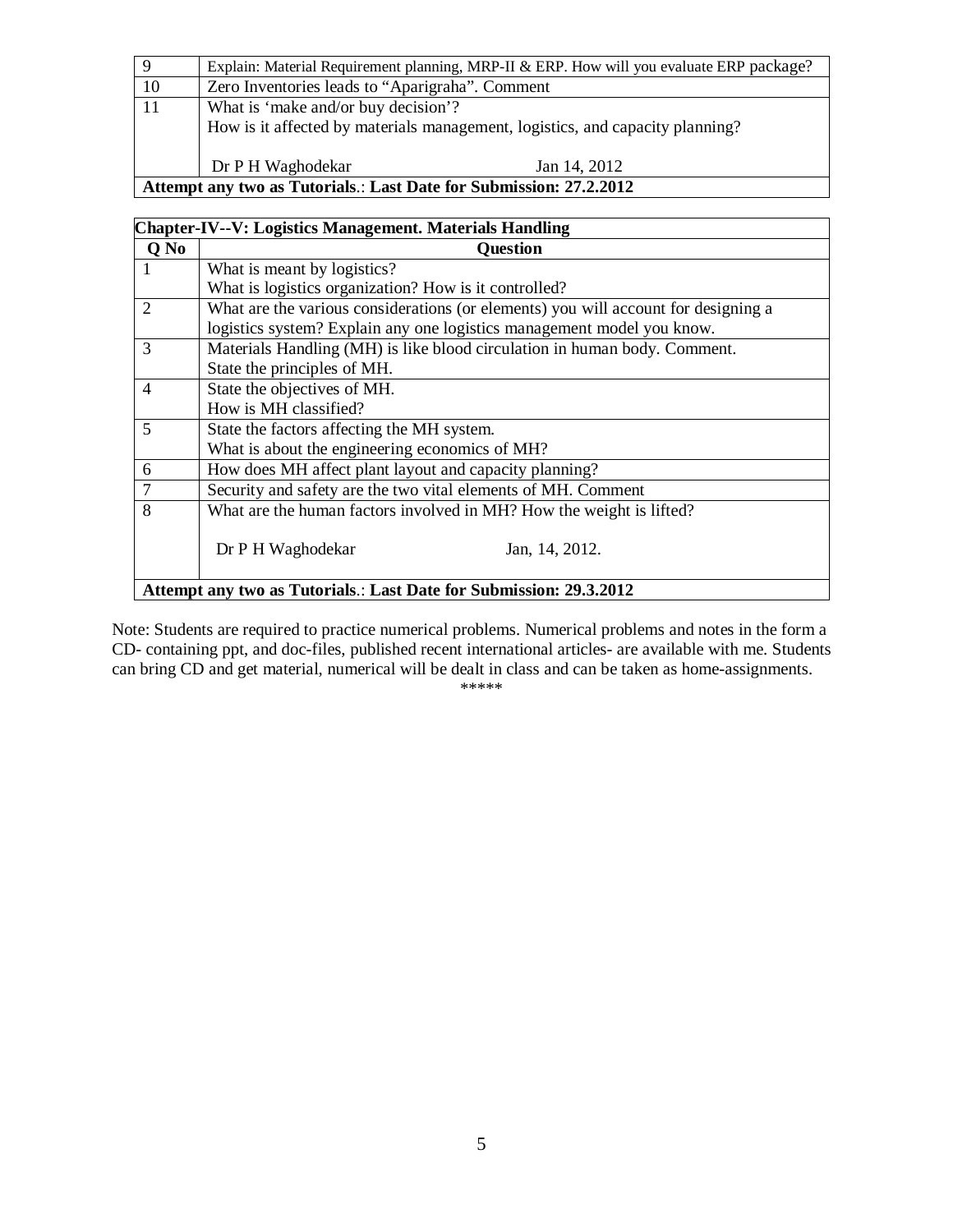| 9                                                                  | Explain: Material Requirement planning, MRP-II & ERP. How will you evaluate ERP package? |  |  |  |  |  |
|--------------------------------------------------------------------|------------------------------------------------------------------------------------------|--|--|--|--|--|
| 10                                                                 | Zero Inventories leads to "Aparigraha". Comment                                          |  |  |  |  |  |
| 11                                                                 | What is 'make and/or buy decision'?                                                      |  |  |  |  |  |
|                                                                    | How is it affected by materials management, logistics, and capacity planning?            |  |  |  |  |  |
|                                                                    |                                                                                          |  |  |  |  |  |
|                                                                    | Dr P H Waghodekar<br>Jan 14, 2012                                                        |  |  |  |  |  |
| Attempt any two as Tutorials.: Last Date for Submission: 27.2.2012 |                                                                                          |  |  |  |  |  |

| <b>Chapter-IV--V: Logistics Management. Materials Handling</b>     |                                                                                    |  |  |  |  |  |  |
|--------------------------------------------------------------------|------------------------------------------------------------------------------------|--|--|--|--|--|--|
| Q No                                                               | Question                                                                           |  |  |  |  |  |  |
| 1                                                                  | What is meant by logistics?                                                        |  |  |  |  |  |  |
|                                                                    | What is logistics organization? How is it controlled?                              |  |  |  |  |  |  |
| 2                                                                  | What are the various considerations (or elements) you will account for designing a |  |  |  |  |  |  |
|                                                                    | logistics system? Explain any one logistics management model you know.             |  |  |  |  |  |  |
| 3                                                                  | Materials Handling (MH) is like blood circulation in human body. Comment.          |  |  |  |  |  |  |
|                                                                    | State the principles of MH.                                                        |  |  |  |  |  |  |
| $\overline{4}$                                                     | State the objectives of MH.                                                        |  |  |  |  |  |  |
|                                                                    | How is MH classified?                                                              |  |  |  |  |  |  |
| 5                                                                  | State the factors affecting the MH system.                                         |  |  |  |  |  |  |
|                                                                    | What is about the engineering economics of MH?                                     |  |  |  |  |  |  |
| 6                                                                  | How does MH affect plant layout and capacity planning?                             |  |  |  |  |  |  |
| 7                                                                  | Security and safety are the two vital elements of MH. Comment                      |  |  |  |  |  |  |
| 8                                                                  | What are the human factors involved in MH? How the weight is lifted?               |  |  |  |  |  |  |
|                                                                    |                                                                                    |  |  |  |  |  |  |
|                                                                    | Dr P H Waghodekar<br>Jan, 14, 2012.                                                |  |  |  |  |  |  |
|                                                                    |                                                                                    |  |  |  |  |  |  |
| Attempt any two as Tutorials.: Last Date for Submission: 29.3.2012 |                                                                                    |  |  |  |  |  |  |

Note: Students are required to practice numerical problems. Numerical problems and notes in the form a CD- containing ppt, and doc-files, published recent international articles- are available with me. Students can bring CD and get material, numerical will be dealt in class and can be taken as home-assignments.

\*\*\*\*\*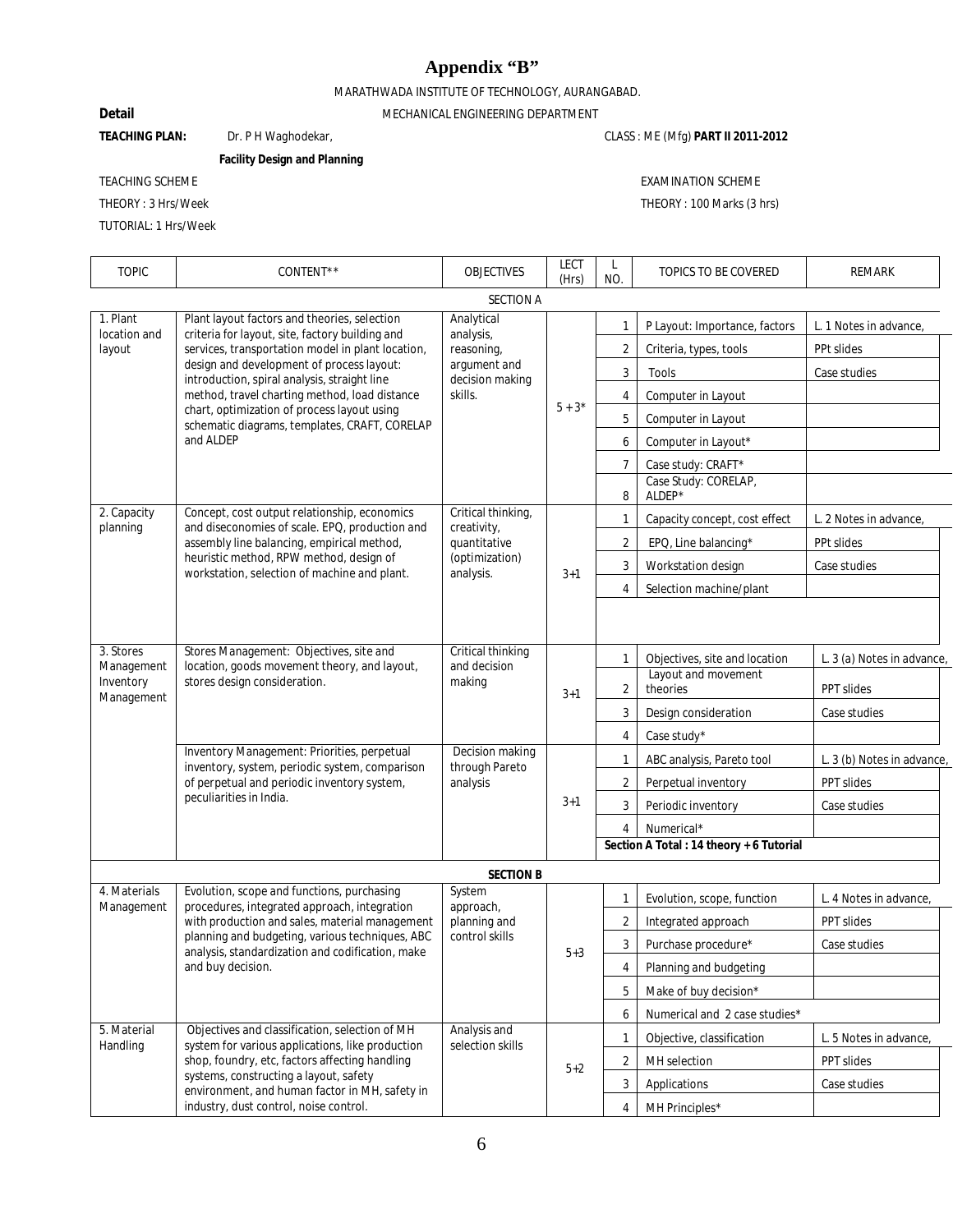# **Appendix "B"**

MARATHWADA INSTITUTE OF TECHNOLOGY, AURANGABAD.

 $\overline{1}$ 

# **Detail** MECHANICAL ENGINEERING DEPARTMENT

TEACHING PLAN: Dr. PH Waghodekar, CLASS: ME (Mfg) **PART II 2011-2012** 

**Facility Design and Planning**

TUTORIAL: 1 Hrs/Week

TEACHING SCHEME EXAMINATION SCHEME

THEORY : 3 Hrs/Week THEORY : 100 Marks (3 hrs)

| <b>TOPIC</b>                       | CONTENT**                                                                                                                                                                                                                                                                                                                                                                                                       | <b>OBJECTIVES</b>                                                                   | <b>LECT</b><br>(Hrs) | L<br>NO.       | TOPICS TO BE COVERED                     | <b>REMARK</b>              |
|------------------------------------|-----------------------------------------------------------------------------------------------------------------------------------------------------------------------------------------------------------------------------------------------------------------------------------------------------------------------------------------------------------------------------------------------------------------|-------------------------------------------------------------------------------------|----------------------|----------------|------------------------------------------|----------------------------|
| <b>SECTION A</b>                   |                                                                                                                                                                                                                                                                                                                                                                                                                 |                                                                                     |                      |                |                                          |                            |
| 1. Plant<br>location and<br>layout | Plant layout factors and theories, selection<br>criteria for layout, site, factory building and<br>services, transportation model in plant location,<br>design and development of process layout:<br>introduction, spiral analysis, straight line<br>method, travel charting method, load distance<br>chart, optimization of process layout using<br>schematic diagrams, templates, CRAFT, CORELAP<br>and ALDEP | Analytical<br>analysis,<br>reasoning,<br>argument and<br>decision making<br>skills. | $5 + 3*$             | $\mathbf{1}$   | P Layout: Importance, factors            | L. 1 Notes in advance,     |
|                                    |                                                                                                                                                                                                                                                                                                                                                                                                                 |                                                                                     |                      | 2              | Criteria, types, tools                   | PPt slides                 |
|                                    |                                                                                                                                                                                                                                                                                                                                                                                                                 |                                                                                     |                      | 3              | Tools                                    | Case studies               |
|                                    |                                                                                                                                                                                                                                                                                                                                                                                                                 |                                                                                     |                      | 4              | Computer in Layout                       |                            |
|                                    |                                                                                                                                                                                                                                                                                                                                                                                                                 |                                                                                     |                      | 5              | Computer in Layout                       |                            |
|                                    |                                                                                                                                                                                                                                                                                                                                                                                                                 |                                                                                     |                      | 6              | Computer in Layout*                      |                            |
|                                    |                                                                                                                                                                                                                                                                                                                                                                                                                 |                                                                                     |                      | 7              | Case study: CRAFT*                       |                            |
|                                    |                                                                                                                                                                                                                                                                                                                                                                                                                 |                                                                                     |                      | 8              | Case Study: CORELAP,<br>ALDEP*           |                            |
| 2. Capacity<br>planning            | Concept, cost output relationship, economics<br>and diseconomies of scale. EPQ, production and                                                                                                                                                                                                                                                                                                                  | Critical thinking,<br>creativity,                                                   |                      | $\mathbf{1}$   | Capacity concept, cost effect            | L. 2 Notes in advance,     |
|                                    | assembly line balancing, empirical method,                                                                                                                                                                                                                                                                                                                                                                      | quantitative                                                                        |                      | $\overline{2}$ | EPQ, Line balancing*                     | PPt slides                 |
|                                    | heuristic method, RPW method, design of<br>workstation, selection of machine and plant.                                                                                                                                                                                                                                                                                                                         | (optimization)<br>analysis.                                                         | $3+1$                | 3              | Workstation design                       | Case studies               |
|                                    |                                                                                                                                                                                                                                                                                                                                                                                                                 |                                                                                     |                      | 4              | Selection machine/plant                  |                            |
|                                    |                                                                                                                                                                                                                                                                                                                                                                                                                 |                                                                                     |                      |                |                                          |                            |
|                                    |                                                                                                                                                                                                                                                                                                                                                                                                                 |                                                                                     |                      |                |                                          |                            |
| 3. Stores                          | Stores Management: Objectives, site and<br>location, goods movement theory, and layout,<br>stores design consideration.                                                                                                                                                                                                                                                                                         | Critical thinking                                                                   |                      | $\mathbf{1}$   | Objectives, site and location            | L. 3 (a) Notes in advance, |
| Management<br>Inventory            |                                                                                                                                                                                                                                                                                                                                                                                                                 | and decision<br>making                                                              | $3 + 1$              |                | Layout and movement                      |                            |
| Management                         |                                                                                                                                                                                                                                                                                                                                                                                                                 |                                                                                     |                      | 2              | theories                                 | <b>PPT slides</b>          |
|                                    |                                                                                                                                                                                                                                                                                                                                                                                                                 |                                                                                     |                      | 3              | Design consideration                     | Case studies               |
|                                    | Inventory Management: Priorities, perpetual                                                                                                                                                                                                                                                                                                                                                                     | Decision making                                                                     |                      | 4              | Case study*                              |                            |
|                                    | inventory, system, periodic system, comparison<br>of perpetual and periodic inventory system,<br>peculiarities in India.                                                                                                                                                                                                                                                                                        | through Pareto<br>analysis                                                          | $3 + 1$              | 1              | ABC analysis, Pareto tool                | L. 3 (b) Notes in advance  |
|                                    |                                                                                                                                                                                                                                                                                                                                                                                                                 |                                                                                     |                      | $\overline{2}$ | Perpetual inventory                      | PPT slides                 |
|                                    |                                                                                                                                                                                                                                                                                                                                                                                                                 |                                                                                     |                      | 3              | Periodic inventory                       | Case studies               |
|                                    |                                                                                                                                                                                                                                                                                                                                                                                                                 |                                                                                     |                      | 4              | Numerical*                               |                            |
|                                    |                                                                                                                                                                                                                                                                                                                                                                                                                 |                                                                                     |                      |                | Section A Total : 14 theory + 6 Tutorial |                            |
|                                    |                                                                                                                                                                                                                                                                                                                                                                                                                 | <b>SECTION B</b>                                                                    |                      |                |                                          |                            |
| 4. Materials<br>Management         | Evolution, scope and functions, purchasing<br>procedures, integrated approach, integration<br>with production and sales, material management<br>planning and budgeting, various techniques, ABC<br>analysis, standardization and codification, make<br>and buy decision.                                                                                                                                        | System<br>approach,                                                                 | $5 + 3$              | $\mathbf{1}$   | Evolution, scope, function               | L. 4 Notes in advance,     |
|                                    |                                                                                                                                                                                                                                                                                                                                                                                                                 | planning and<br>control skills                                                      |                      | 2              | Integrated approach                      | PPT slides                 |
|                                    |                                                                                                                                                                                                                                                                                                                                                                                                                 |                                                                                     |                      | 3              | Purchase procedure*                      | Case studies               |
|                                    |                                                                                                                                                                                                                                                                                                                                                                                                                 |                                                                                     |                      | 4              | Planning and budgeting                   |                            |
|                                    |                                                                                                                                                                                                                                                                                                                                                                                                                 |                                                                                     |                      | 5              | Make of buy decision*                    |                            |
|                                    |                                                                                                                                                                                                                                                                                                                                                                                                                 |                                                                                     |                      | 6              | Numerical and 2 case studies*            |                            |
| 5. Material<br>Handling            | Objectives and classification, selection of MH<br>system for various applications, like production<br>shop, foundry, etc, factors affecting handling<br>systems, constructing a layout, safety<br>environment, and human factor in MH, safety in<br>industry, dust control, noise control.                                                                                                                      | Analysis and<br>selection skills                                                    |                      | $\mathbf{1}$   | Objective, classification                | L. 5 Notes in advance,     |
|                                    |                                                                                                                                                                                                                                                                                                                                                                                                                 |                                                                                     | $5 + 2$              | 2              | MH selection                             | PPT slides                 |
|                                    |                                                                                                                                                                                                                                                                                                                                                                                                                 |                                                                                     |                      | 3              | Applications                             | Case studies               |
|                                    |                                                                                                                                                                                                                                                                                                                                                                                                                 |                                                                                     |                      | 4              | MH Principles*                           |                            |